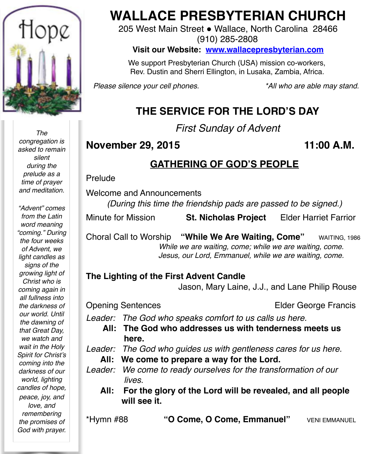

*The congregation is asked to remain silent during the prelude as a time of prayer and meditation.*

*"Advent" comes from the Latin word meaning "coming." During the four weeks of Advent, we light candles as signs of the growing light of Christ who is coming again in all fullness into the darkness of our world. Until the dawning of that Great Day, we watch and wait in the Holy Spirit for Christ's coming into the darkness of our world, lighting candles of hope, peace, joy, and love, and remembering the promises of God with prayer.*

# **WALLACE PRESBYTERIAN CHURCH**

205 West Main Street . Wallace, North Carolina 28466 (910) 285-2808

#### **Visit our Website: [www.wallacepresbyterian.com](http://www.wallacepresbyterian.com)**

 We support Presbyterian Church (USA) mission co-workers, Rev. Dustin and Sherri Ellington, in Lusaka, Zambia, Africa.

*Please silence your cell phones. \*All who are able may stand.*

# **THE SERVICE FOR THE LORD'S DAY**

*First Sunday of Advent*

### **November 29, 2015 11:00 A.M.**

# **GATHERING OF GOD'S PEOPLE**

Prelude

Welcome and Announcements

*(During this time the friendship pads are passed to be signed.)*

Minute for Mission **St. Nicholas Project** Elder Harriet Farrior

Choral Call to Worship **"While We Are Waiting, Come"** WAITING, 1986 While we are waiting, come; while we are waiting, come. ! ! *Jesus, our Lord, Emmanuel, while we are waiting, come.*

#### **The Lighting of the First Advent Candle**

Jason, Mary Laine, J.J., and Lane Philip Rouse

Opening SentencesElder George Francis

*Leader: The God who speaks comfort to us calls us here.*

**All: The God who addresses us with tenderness meets us here.**

*Leader: The God who guides us with gentleness cares for us here.*

- **All: We come to prepare a way for the Lord.**
- *Leader: We come to ready ourselves for the transformation of our lives.*
	- **All: For the glory of the Lord will be revealed, and all people will see it.**

\*Hymn #88 **"O Come, O Come, Emmanuel"** VENI EMMANUEL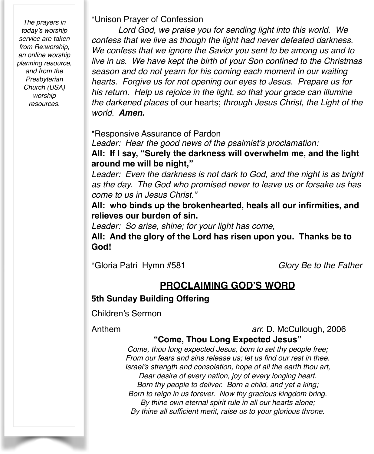*The prayers in today's worship service are taken from Re:worship, an online worship planning resource, and from the Presbyterian Church (USA) worship resources.* 

\*Unison Prayer of Confession

*Lord God, we praise you for sending light into this world. We confess that we live as though the light had never defeated darkness. We confess that we ignore the Savior you sent to be among us and to live in us. We have kept the birth of your Son confined to the Christmas season and do not yearn for his coming each moment in our waiting hearts. Forgive us for not opening our eyes to Jesus. Prepare us for his return. Help us rejoice in the light, so that your grace can illumine the darkened places* of our hearts; *through Jesus Christ, the Light of the world. Amen.*!

\*Responsive Assurance of Pardon

*Leader: Hear the good news of the psalmist's proclamation:*

**All: If I say, "Surely the darkness will overwhelm me, and the light around me will be night,"**

*Leader: Even the darkness is not dark to God, and the night is as bright as the day. The God who promised never to leave us or forsake us has come to us in Jesus Christ."*

**All: who binds up the brokenhearted, heals all our infirmities, and relieves our burden of sin.**

*Leader: So arise, shine; for your light has come,*

**All: And the glory of the Lord has risen upon you. Thanks be to God!**

\*Gloria Patri Hymn #581 *Glory Be to the Father*

## **PROCLAIMING GOD'S WORD**

#### **5th Sunday Building Offering**

Children's Sermon

Anthem **! ! ! ! !** *arr.* D. McCullough, 2006

#### **"Come, Thou Long Expected Jesus"**

*Come, thou long expected Jesus, born to set thy people free; From our fears and sins release us; let us find our rest in thee. Israel's strength and consolation, hope of all the earth thou art, Dear desire of every nation, joy of every longing heart. Born thy people to deliver. Born a child, and yet a king; Born to reign in us forever. Now thy gracious kingdom bring. By thine own eternal spirit rule in all our hearts alone; By thine all sufficient merit, raise us to your glorious throne.*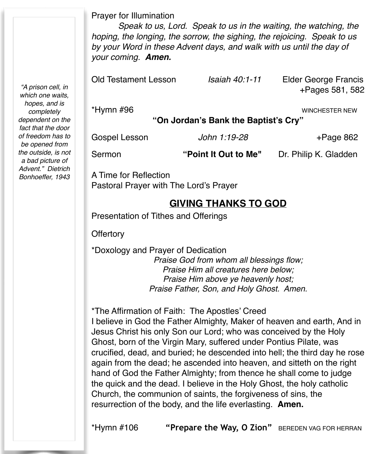Prayer for Illumination

*Speak to us, Lord. Speak to us in the waiting, the watching, the hoping, the longing, the sorrow, the sighing, the rejoicing. Speak to us by your Word in these Advent days, and walk with us until the day of your coming. Amen.*

Old Testament Lesson *Isaiah 40:1-11* Elder George Francis !!!!!!! +Pages 581, 582 \*Hymn #96 WINCHESTER NEW **"On Jordan's Bank the Baptist's Cry"**

| Gospel Lesson | John 1:19-28         | +Page 862             |
|---------------|----------------------|-----------------------|
| Sermon        | "Point It Out to Me" | Dr. Philip K. Gladden |

A Time for Reflection Pastoral Prayer with The Lord's Prayer

#### **GIVING THANKS TO GOD**

Presentation of Tithes and Offerings

**Offertory** 

\*Doxology and Prayer of Dedication *Praise God from whom all blessings flow; Praise Him all creatures here below; Praise Him above ye heavenly host; Praise Father, Son, and Holy Ghost. Amen.*

\*The Affirmation of Faith: The Apostles' Creed I believe in God the Father Almighty, Maker of heaven and earth, And in Jesus Christ his only Son our Lord; who was conceived by the Holy Ghost, born of the Virgin Mary, suffered under Pontius Pilate, was crucified, dead, and buried; he descended into hell; the third day he rose again from the dead; he ascended into heaven, and sitteth on the right hand of God the Father Almighty; from thence he shall come to judge the quick and the dead. I believe in the Holy Ghost, the holy catholic Church, the communion of saints, the forgiveness of sins, the resurrection of the body, and the life everlasting. **Amen.**

\*Hymn #106 **"Prepare the Way, O Zion"** BEREDEN VAG FOR HERRAN

*"A prison cell, in which one waits, hopes, and is completely dependent on the fact that the door of freedom has to be opened from the outside, is not a bad picture of Advent." Dietrich Bonhoeffer, 1943*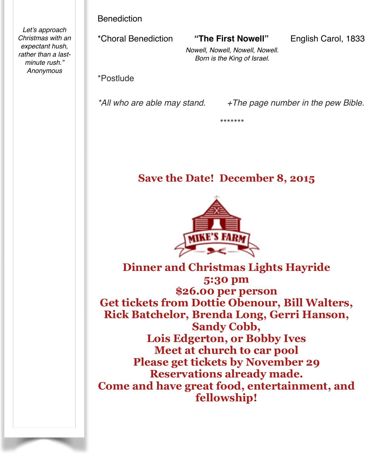Benediction

*Let's approach Christmas with an expectant hush, rather than a lastminute rush." Anonymous*

\*Choral Benediction **"The First Nowell"** English Carol, 1833

*Nowell, Nowell, Nowell, Nowell. Born is the King of Israel.*

\*Postlude

*\*All who are able may stand. +The page number in the pew Bible.*

\*\*\*\*\*\*\*

# **Save the Date! December 8, 2015**



**Dinner and Christmas Lights Hayride 5:30 pm \$26.00 per person Get tickets from Dottie Obenour, Bill Walters, Rick Batchelor, Brenda Long, Gerri Hanson, Sandy Cobb, Lois Edgerton, or Bobby Ives Meet at church to car pool Please get tickets by November 29 Reservations already made. Come and have great food, entertainment, and fellowship!**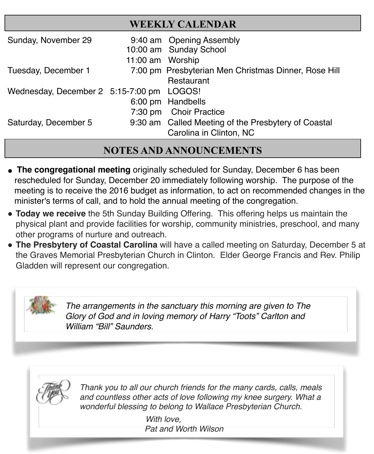| <b>WEEKLY CALENDAR</b>                    |                  |                                                      |  |  |
|-------------------------------------------|------------------|------------------------------------------------------|--|--|
| Sunday, November 29                       |                  | 9:40 am Opening Assembly                             |  |  |
|                                           |                  | 10:00 am Sunday School                               |  |  |
|                                           | 11:00 am Worship |                                                      |  |  |
| Tuesday, December 1                       |                  | 7:00 pm Presbyterian Men Christmas Dinner, Rose Hill |  |  |
|                                           |                  | Restaurant                                           |  |  |
| Wednesday, December 2 5:15-7:00 pm LOGOS! |                  |                                                      |  |  |
|                                           |                  | 6:00 pm Handbells                                    |  |  |
|                                           |                  | 7:30 pm Choir Practice                               |  |  |
| Saturday, December 5                      |                  | 9:30 am Called Meeting of the Presbytery of Coastal  |  |  |
|                                           |                  | Carolina in Clinton, NC                              |  |  |

# **NOTES AND ANNOUNCEMENTS**

- **The congregational meeting** originally scheduled for Sunday, December 6 has been rescheduled for Sunday, December 20 immediately following worship. The purpose of the meeting is to receive the 2016 budget as information, to act on recommended changes in the minister's terms of call, and to hold the annual meeting of the congregation.
- **Today we receive** the 5th Sunday Building Offering. This offering helps us maintain the physical plant and provide facilities for worship, community ministries, preschool, and many other programs of nurture and outreach.
- **The Presbytery of Coastal Carolina** will have a called meeting on Saturday, December 5 at the Graves Memorial Presbyterian Church in Clinton. Elder George Francis and Rev. Philip Gladden will represent our congregation.



*The arrangements in the sanctuary this morning are given to The Glory of God and in loving memory of Harry "Toots" Carlton and William "Bill" Saunders.*



*Thank you to all our church friends for the many cards, calls, meals and countless other acts of love following my knee surgery. What a wonderful blessing to belong to Wallace Presbyterian Church.*

> *With love. Pat and Worth Wilson*